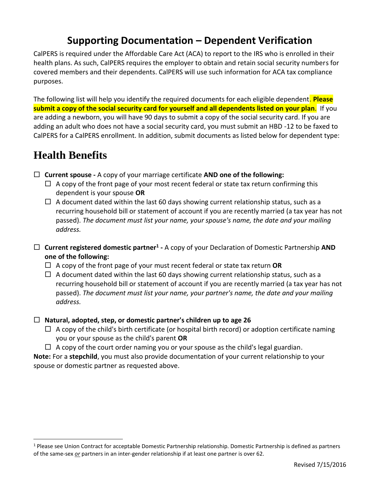## **Supporting Documentation – Dependent Verification**

CalPERS is required under the Affordable Care Act (ACA) to report to the IRS who is enrolled in their health plans. As such, CalPERS requires the employer to obtain and retain social security numbers for covered members and their dependents. CalPERS will use such information for ACA tax compliance purposes.

The following list will help you identify the required documents for each eligible dependent. **Please submit a copy of the social security card for yourself and all dependents listed on your plan**. If you are adding a newborn, you will have 90 days to submit a copy of the social security card. If you are adding an adult who does not have a social security card, you must submit an HBD -12 to be faxed to CalPERS for a CalPERS enrollment. In addition, submit documents as listed below for dependent type:

# **Health Benefits**

l

- **Current spouse -** A copy of your marriage certificate **AND one of the following:**
	- $\Box$  A copy of the front page of your most recent federal or state tax return confirming this dependent is your spouse **OR**
	- $\Box$  A document dated within the last 60 days showing current relationship status, such as a recurring household bill or statement of account if you are recently married (a tax year has not passed). *The document must list your name, your spouse's name, the date and your mailing address.*
- **Current registered domestic partner<sup>1</sup> -** A copy of your Declaration of Domestic Partnership **AND one of the following:**
	- A copy of the front page of your must recent federal or state tax return **OR**
	- $\Box$  A document dated within the last 60 days showing current relationship status, such as a recurring household bill or statement of account if you are recently married (a tax year has not passed). *The document must list your name, your partner's name, the date and your mailing address.*

### **Natural, adopted, step, or domestic partner's children up to age 26**

- $\Box$  A copy of the child's birth certificate (or hospital birth record) or adoption certificate naming you or your spouse as the child's parent **OR**
- $\Box$  A copy of the court order naming you or your spouse as the child's legal guardian.

**Note:** For a **stepchild**, you must also provide documentation of your current relationship to your spouse or domestic partner as requested above.

<sup>&</sup>lt;sup>1</sup> Please see Union Contract for acceptable Domestic Partnership relationship. Domestic Partnership is defined as partners of the same-sex *or* partners in an inter-gender relationship if at least one partner is over 62.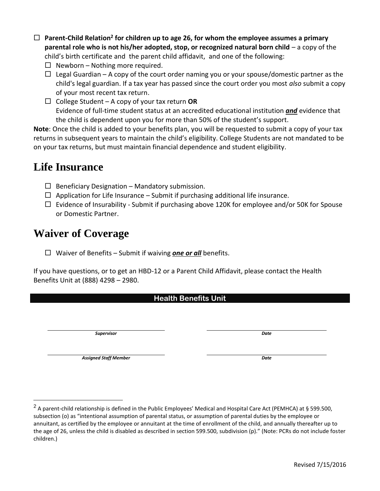- □ Parent-Child Relation<sup>2</sup> for children up to age 26, for whom the employee assumes a primary **parental role who is not his/her adopted, stop, or recognized natural born child – a copy of the** child's birth certificate and the parent child affidavit, and one of the following:
	- $\Box$  Newborn Nothing more required.
	- $\Box$  Legal Guardian A copy of the court order naming you or your spouse/domestic partner as the child's legal guardian. If a tax year has passed since the court order you most *also* submit a copy of your most recent tax return.
	- College Student A copy of your tax return **OR** Evidence of full-time student status at an accredited educational institution *and* evidence that the child is dependent upon you for more than 50% of the student's support.

**Note**: Once the child is added to your benefits plan, you will be requested to submit a copy of your tax returns in subsequent years to maintain the child's eligibility. College Students are not mandated to be on your tax returns, but must maintain financial dependence and student eligibility.

# **Life Insurance**

- $\Box$  Beneficiary Designation Mandatory submission.
- $\Box$  Application for Life Insurance Submit if purchasing additional life insurance.
- $\Box$  Evidence of Insurability Submit if purchasing above 120K for employee and/or 50K for Spouse or Domestic Partner.

# **Waiver of Coverage**

Waiver of Benefits – Submit if waiving *one or all* benefits.

If you have questions, or to get an HBD-12 or a Parent Child Affidavit, please contact the Health Benefits Unit at (888) 4298 – 2980.

|--|

*Supervisor Date*

*Assigned Staff Member Date*

 $\overline{\phantom{a}}$ 

<sup>&</sup>lt;sup>2</sup> A parent-child relationship is defined in the Public Employees' Medical and Hospital Care Act (PEMHCA) at § 599.500, subsection (o) as "intentional assumption of parental status, or assumption of parental duties by the employee or annuitant, as certified by the employee or annuitant at the time of enrollment of the child, and annually thereafter up to the age of 26, unless the child is disabled as described in section 599.500, subdivision (p)." (Note: PCRs do not include foster children.)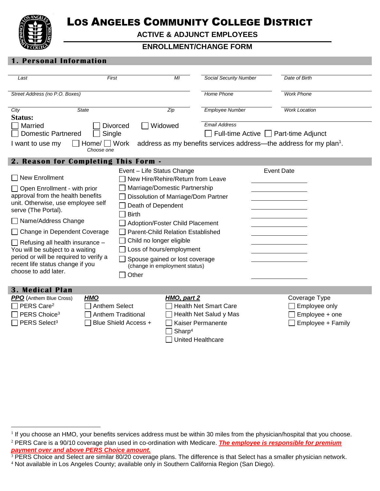

 $\overline{a}$ 

## LOS ANGELES COMMUNITY COLLEGE DISTRICT

**ACTIVE & ADJUNCT EMPLOYEES**

## **ENROLLMENT/CHANGE FORM**

#### **1. Personal Information**

| Last                                                                                                                                                                                                                                                                                                                                                                                                            | First                                |                                                                                                       | MI                                                                                                                                                                                                                                                                                      | <b>Social Security Number</b>                                               |                                      | Date of Birth                                                                  |  |  |  |  |
|-----------------------------------------------------------------------------------------------------------------------------------------------------------------------------------------------------------------------------------------------------------------------------------------------------------------------------------------------------------------------------------------------------------------|--------------------------------------|-------------------------------------------------------------------------------------------------------|-----------------------------------------------------------------------------------------------------------------------------------------------------------------------------------------------------------------------------------------------------------------------------------------|-----------------------------------------------------------------------------|--------------------------------------|--------------------------------------------------------------------------------|--|--|--|--|
| Street Address (no P.O. Boxes)                                                                                                                                                                                                                                                                                                                                                                                  |                                      |                                                                                                       |                                                                                                                                                                                                                                                                                         | <b>Home Phone</b>                                                           |                                      | <b>Work Phone</b>                                                              |  |  |  |  |
| City<br>Status:                                                                                                                                                                                                                                                                                                                                                                                                 | <b>State</b>                         |                                                                                                       | Zip                                                                                                                                                                                                                                                                                     | <b>Employee Number</b>                                                      |                                      | <b>Work Location</b>                                                           |  |  |  |  |
| <b>Married</b><br><b>Domestic Partnered</b>                                                                                                                                                                                                                                                                                                                                                                     | Single                               | <b>Divorced</b>                                                                                       | Widowed                                                                                                                                                                                                                                                                                 | <b>Email Address</b>                                                        | Full-time Active   Part-time Adjunct |                                                                                |  |  |  |  |
| I want to use my                                                                                                                                                                                                                                                                                                                                                                                                | $Home/ \bigsqcup$ Work<br>Choose one |                                                                                                       |                                                                                                                                                                                                                                                                                         |                                                                             |                                      | address as my benefits services address—the address for my plan <sup>1</sup> . |  |  |  |  |
| 2. Reason for Completing This Form -                                                                                                                                                                                                                                                                                                                                                                            |                                      |                                                                                                       |                                                                                                                                                                                                                                                                                         |                                                                             |                                      |                                                                                |  |  |  |  |
| $\Box$ New Enrollment<br>$\Box$ Open Enrollment - with prior<br>approval from the health benefits<br>unit. Otherwise, use employee self<br>serve (The Portal).<br>□ Name/Address Change<br>□ Change in Dependent Coverage<br>$\Box$ Refusing all health insurance $-$<br>You will be subject to a waiting<br>period or will be required to verify a<br>recent life status change if you<br>choose to add later. |                                      | Event - Life Status Change<br>Death of Dependent<br><b>Birth</b><br>Child no longer eligible<br>Other | New Hire/Rehire/Return from Leave<br>Marriage/Domestic Partnership<br>Dissolution of Marriage/Dom Partner<br>Adoption/Foster Child Placement<br><b>Parent-Child Relation Established</b><br>Loss of hours/employment<br>Spouse gained or lost coverage<br>(change in employment status) |                                                                             | <b>Event Date</b>                    |                                                                                |  |  |  |  |
| <b>3. Medical Plan</b><br><b>PPO</b> (Anthem Blue Cross)<br>PERS Care <sup>2</sup><br>PERS Choice <sup>3</sup><br>PERS Select <sup>3</sup>                                                                                                                                                                                                                                                                      | <b>HMO</b><br><b>Anthem Select</b>   | <b>Anthem Traditional</b><br>Blue Shield Access +                                                     | HMO, part 2<br>Sharp <sup>4</sup><br>United Healthcare                                                                                                                                                                                                                                  | <b>Health Net Smart Care</b><br>Health Net Salud y Mas<br>Kaiser Permanente |                                      | Coverage Type<br>Employee only<br>Employee + one<br>Employee + Family          |  |  |  |  |

<sup>&</sup>lt;sup>1</sup> If you choose an HMO, your benefits services address must be within 30 miles from the physician/hospital that you choose. <sup>2</sup> PERS Care is a 90/10 coverage plan used in co-ordination with Medicare. *The employee is responsible for premium payment over and above PERS Choice amount.*

 $3$  PERS Choice and Select are similar 80/20 coverage plans. The difference is that Select has a smaller physician network.

<sup>4</sup> Not available in Los Angeles County; available only in Southern California Region (San Diego).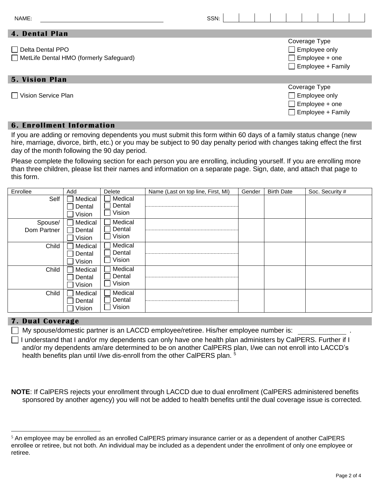| NAME:                                                              | SSN: |  |  |                                                                                            |  |  |
|--------------------------------------------------------------------|------|--|--|--------------------------------------------------------------------------------------------|--|--|
| <b>4. Dental Plan</b>                                              |      |  |  |                                                                                            |  |  |
| $\Box$ Delta Dental PPO<br>MetLife Dental HMO (formerly Safeguard) |      |  |  | Coverage Type<br>$\Box$ Employee only<br>$\Box$ Employee + one<br>$\Box$ Employee + Family |  |  |
| <b>5. Vision Plan</b>                                              |      |  |  |                                                                                            |  |  |
| □ Vision Service Plan                                              |      |  |  | Coverage Type<br>$\Box$ Employee only<br>$\Box$ Employee + one<br>$\Box$ Employee + Family |  |  |

## **6. Enrollment Information**

If you are adding or removing dependents you must submit this form within 60 days of a family status change (new hire, marriage, divorce, birth, etc.) or you may be subject to 90 day penalty period with changes taking effect the first day of the month following the 90 day period.

Please complete the following section for each person you are enrolling, including yourself. If you are enrolling more than three children, please list their names and information on a separate page. Sign, date, and attach that page to this form.

| Enrollee               | Add                         | <b>Delete</b>               | Name (Last on top line, First, MI) | Gender | <b>Birth Date</b> | Soc. Security # |
|------------------------|-----------------------------|-----------------------------|------------------------------------|--------|-------------------|-----------------|
| Self                   | Medical<br>Dental<br>Vision | Medical<br>Dental<br>Vision |                                    |        |                   |                 |
| Spouse/<br>Dom Partner | Medical<br>Dental<br>Vision | Medical<br>Dental<br>Vision |                                    |        |                   |                 |
| Child                  | Medical<br>Dental<br>Vision | Medical<br>Dental<br>Vision |                                    |        |                   |                 |
| Child                  | Medical<br>Dental<br>Vision | Medical<br>Dental<br>Vision |                                    |        |                   |                 |
| Child                  | Medical<br>Dental<br>Vision | Medical<br>Dental<br>Vision |                                    |        |                   |                 |

#### **7. Dual Coverage**

 $\overline{a}$ 

My spouse/domestic partner is an LACCD employee/retiree. His/her employee number is:

 $\Box$  I understand that I and/or my dependents can only have one health plan administers by CalPERS. Further if I and/or my dependents am/are determined to be on another CalPERS plan, I/we can not enroll into LACCD's health benefits plan until I/we dis-enroll from the other CalPERS plan.<sup>5</sup>

**NOTE**: If CalPERS rejects your enrollment through LACCD due to dual enrollment (CalPERS administered benefits sponsored by another agency) you will not be added to health benefits until the dual coverage issue is corrected.

<sup>5</sup> An employee may be enrolled as an enrolled CalPERS primary insurance carrier or as a dependent of another CalPERS enrollee or retiree, but not both. An individual may be included as a dependent under the enrollment of only one employee or retiree.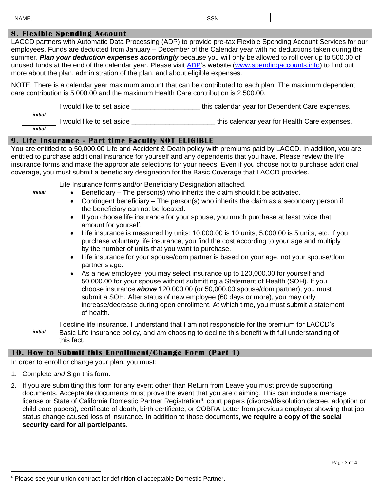| NAME: | SSN-<br>$\sim$ |  |  |  |  |  |
|-------|----------------|--|--|--|--|--|
|       |                |  |  |  |  |  |

#### **8. Flexible Spending Account**

LACCD partners with Automatic Data Processing (ADP) to provide pre-tax Flexible Spending Account Services for our employees. Funds are deducted from January – December of the Calendar year with no deductions taken during the summer. *Plan your deduction expenses accordingly* because you will only be allowed to roll over up to 500.00 of unused funds at the end of the calendar year. Please visit [ADP'](http://www.spendingaccounts.info/)s website [\(www.spendingaccounts.info\)](http://www.spendingaccounts.info/) to find out more about the plan, administration of the plan, and about eligible expenses.

NOTE: There is a calendar year maximum amount that can be contributed to each plan. The maximum dependent care contribution is 5,000.00 and the maximum Health Care contribution is 2,500.00.

I would like to set aside **Exercise 1 and Section** this calendar year for Dependent Care expenses. *initial* I would like to set aside \_\_\_\_\_\_\_\_\_\_\_\_\_\_\_\_\_\_\_\_\_\_\_\_\_\_\_\_\_\_\_\_this calendar year for Health Care expenses. *initial*

#### **9. Life Insurance - Part time Faculty NOT ELIGIBLE**

You are entitled to a 50,000.00 Life and Accident & Death policy with premiums paid by LACCD. In addition, you are entitled to purchase additional insurance for yourself and any dependents that you have. Please review the life insurance forms and make the appropriate selections for your needs. Even if you choose not to purchase additional coverage, you must submit a beneficiary designation for the Basic Coverage that LACCD provides.

Life Insurance forms and/or Beneficiary Designation attached.

- Beneficiary The person(s) who inherits the claim should it be activated.
- Contingent beneficiary The person(s) who inherits the claim as a secondary person if the beneficiary can not be located.
- If you choose life insurance for your spouse, you much purchase at least twice that amount for yourself.
- Life insurance is measured by units: 10,000.00 is 10 units, 5,000.00 is 5 units, etc. If you purchase voluntary life insurance, you find the cost according to your age and multiply by the number of units that you want to purchase.
- Life insurance for your spouse/dom partner is based on your age, not your spouse/dom partner's age.
- As a new employee, you may select insurance up to 120,000.00 for yourself and 50,000.00 for your spouse without submitting a Statement of Health (SOH). If you choose insurance *above* 120,000.00 (or 50,000.00 spouse/dom partner), you must submit a SOH. After status of new employee (60 days or more), you may only increase/decrease during open enrollment. At which time, you must submit a statement of health.

I decline life insurance. I understand that I am not responsible for the premium for LACCD's Basic Life insurance policy, and am choosing to decline this benefit with full understanding of this fact. *initial*

#### **10. How to Submit this Enrollment/Change Form (Part 1)**

In order to enroll or change your plan, you must:

1. Complete *and* Sign this form.

 $\overline{a}$ 

*initial*

2. If you are submitting this form for any event other than Return from Leave you must provide supporting documents. Acceptable documents must prove the event that you are claiming. This can include a marriage license or State of California Domestic Partner Registration<sup>6</sup>, court papers (divorce/dissolution decree, adoption or child care papers), certificate of death, birth certificate, or COBRA Letter from previous employer showing that job status change caused loss of insurance. In addition to those documents, **we require a copy of the social security card for all participants**.

<sup>&</sup>lt;sup>6</sup> Please see your union contract for definition of acceptable Domestic Partner.